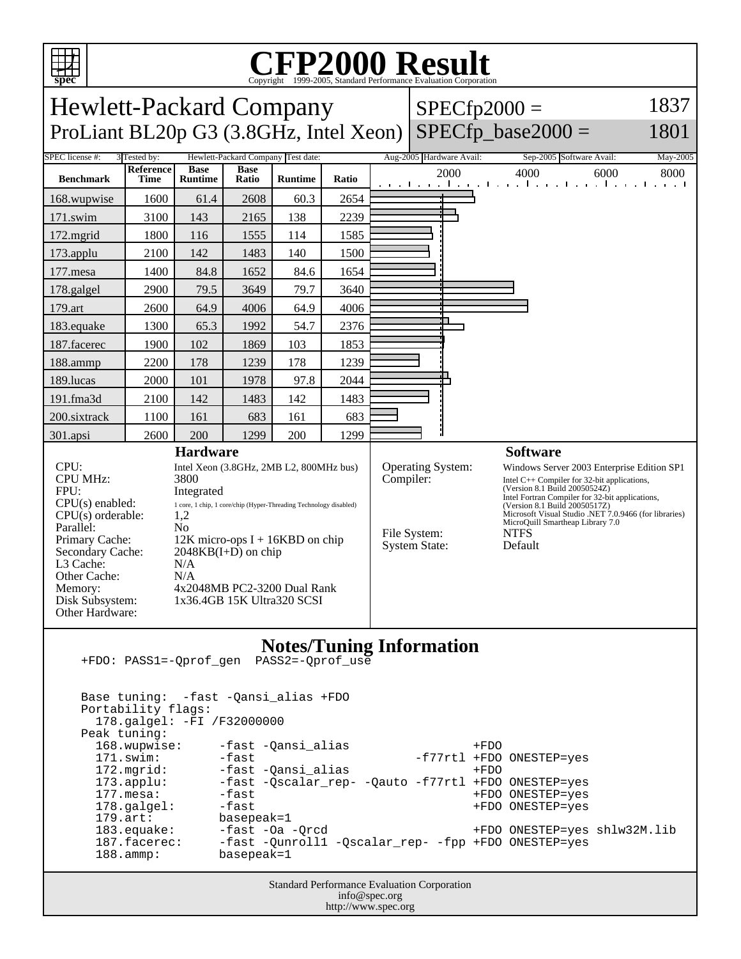

## C<sub>opyright</sub> ©1999-2005, Standard Performance Evaluation Corporation

| $\mathbf{P}$<br>Copyright @1999-2009, Standard I Criormance Evaluation Corporation                |                                   |                                                                          |                      |                |                                      |                                                                                                                                   |      |                                                 |                                                                                        |          |
|---------------------------------------------------------------------------------------------------|-----------------------------------|--------------------------------------------------------------------------|----------------------|----------------|--------------------------------------|-----------------------------------------------------------------------------------------------------------------------------------|------|-------------------------------------------------|----------------------------------------------------------------------------------------|----------|
| 1837<br><b>Hewlett-Packard Company</b><br>$SPECfp2000 =$                                          |                                   |                                                                          |                      |                |                                      |                                                                                                                                   |      |                                                 |                                                                                        |          |
| $SPECfp\_base2000 =$<br>ProLiant BL20p G3 (3.8GHz, Intel Xeon)<br>1801                            |                                   |                                                                          |                      |                |                                      |                                                                                                                                   |      |                                                 |                                                                                        |          |
| SPEC license #:<br>Hewlett-Packard Company Test date:<br>3 Tested by:<br>Aug-2005 Hardware Avail: |                                   |                                                                          |                      |                |                                      |                                                                                                                                   |      |                                                 | Sep-2005 Software Avail:                                                               | May-2005 |
| <b>Benchmark</b>                                                                                  | Reference<br>Time                 | <b>Base</b><br><b>Runtime</b>                                            | <b>Base</b><br>Ratio | <b>Runtime</b> | Ratio                                |                                                                                                                                   | 2000 |                                                 | 4000<br>6000<br>المتوجا وتوجا وتوجا وتوجا وتوجا وتوجا وتوجا وتو                        | 8000     |
| 168.wupwise                                                                                       | 1600                              | 61.4                                                                     | 2608                 | 60.3           | 2654                                 |                                                                                                                                   |      |                                                 |                                                                                        |          |
| 171.swim                                                                                          | 3100                              | 143                                                                      | 2165                 | 138            | 2239                                 |                                                                                                                                   |      |                                                 |                                                                                        |          |
| $172$ .mgrid                                                                                      | 1800                              | 116                                                                      | 1555                 | 114            | 1585                                 |                                                                                                                                   |      |                                                 |                                                                                        |          |
| 173.applu                                                                                         | 2100                              | 142                                                                      | 1483                 | 140            | 1500                                 |                                                                                                                                   |      |                                                 |                                                                                        |          |
| 177.mesa                                                                                          | 1400                              | 84.8                                                                     | 1652                 | 84.6           | 1654                                 |                                                                                                                                   |      |                                                 |                                                                                        |          |
| 178.galgel                                                                                        | 2900                              | 79.5                                                                     | 3649                 | 79.7           | 3640                                 |                                                                                                                                   |      |                                                 |                                                                                        |          |
| 179.art                                                                                           | 2600                              | 64.9                                                                     | 4006                 | 64.9           | 4006                                 |                                                                                                                                   |      |                                                 |                                                                                        |          |
| 183.equake                                                                                        | 1300                              | 65.3                                                                     | 1992                 | 54.7           | 2376                                 |                                                                                                                                   |      |                                                 |                                                                                        |          |
| 187.facerec                                                                                       | 1900                              | 102                                                                      | 1869                 | 103            | 1853                                 |                                                                                                                                   |      |                                                 |                                                                                        |          |
| 188.ammp                                                                                          | 2200                              | 178                                                                      | 1239                 | 178            | 1239                                 |                                                                                                                                   |      |                                                 |                                                                                        |          |
| 189.lucas                                                                                         | 2000                              | 101                                                                      | 1978                 | 97.8           | 2044                                 |                                                                                                                                   |      |                                                 |                                                                                        |          |
| 191.fma3d                                                                                         | 2100                              | 142                                                                      | 1483                 | 142            | 1483                                 |                                                                                                                                   |      |                                                 |                                                                                        |          |
| 200.sixtrack                                                                                      | 1100                              | 161                                                                      | 683                  | 161            | 683                                  |                                                                                                                                   |      |                                                 |                                                                                        |          |
| 301.apsi                                                                                          | 2600                              | 200                                                                      | 1299                 | 200            | 1299                                 |                                                                                                                                   |      |                                                 |                                                                                        |          |
| <b>Hardware</b>                                                                                   |                                   |                                                                          |                      |                |                                      |                                                                                                                                   |      |                                                 | <b>Software</b>                                                                        |          |
| CPU:<br>Intel Xeon (3.8GHz, 2MB L2, 800MHz bus)<br><b>CPU MHz:</b><br>3800                        |                                   |                                                                          |                      |                | Operating System:<br>Compiler:       |                                                                                                                                   |      | Windows Server 2003 Enterprise Edition SP1      |                                                                                        |          |
| FPU:                                                                                              | Integrated                        |                                                                          |                      |                |                                      | Intel $C++$ Compiler for 32-bit applications,<br>(Version 8.1 Build 20050524Z)<br>Intel Fortran Compiler for 32-bit applications, |      |                                                 |                                                                                        |          |
| $CPU(s)$ enabled:<br>$CPU(s)$ orderable:                                                          |                                   | 1 core, 1 chip, 1 core/chip (Hyper-Threading Technology disabled)<br>1,2 |                      |                |                                      |                                                                                                                                   |      |                                                 | (Version 8.1 Build 20050517Z)<br>Microsoft Visual Studio .NET 7.0.9466 (for libraries) |          |
| Parallel:                                                                                         | N <sub>0</sub>                    |                                                                          |                      |                | File System:<br><b>System State:</b> |                                                                                                                                   |      | MicroQuill Smartheap Library 7.0<br><b>NTFS</b> |                                                                                        |          |
| Primary Cache:                                                                                    | $12K$ micro-ops I + 16KBD on chip |                                                                          |                      |                |                                      |                                                                                                                                   |      | Default                                         |                                                                                        |          |
| Secondary Cache:<br>$2048KB(I+D)$ on chip<br>L3 Cache:<br>N/A                                     |                                   |                                                                          |                      |                |                                      |                                                                                                                                   |      |                                                 |                                                                                        |          |
| Other Cache:<br>N/A                                                                               |                                   |                                                                          |                      |                |                                      |                                                                                                                                   |      |                                                 |                                                                                        |          |
| 4x2048MB PC2-3200 Dual Rank<br>Memory:<br>Disk Subsystem:<br>1x36.4GB 15K Ultra320 SCSI           |                                   |                                                                          |                      |                |                                      |                                                                                                                                   |      |                                                 |                                                                                        |          |
| Other Hardware:                                                                                   |                                   |                                                                          |                      |                |                                      |                                                                                                                                   |      |                                                 |                                                                                        |          |
|                                                                                                   |                                   |                                                                          |                      |                |                                      |                                                                                                                                   |      |                                                 |                                                                                        |          |
| <b>Notes/Tuning Information</b><br>PASS2=-Qprof_use<br>+FDO: PASS1=-Qprof_gen                     |                                   |                                                                          |                      |                |                                      |                                                                                                                                   |      |                                                 |                                                                                        |          |
|                                                                                                   |                                   |                                                                          |                      |                |                                      |                                                                                                                                   |      |                                                 |                                                                                        |          |
| Base tuning: -fast -Qansi_alias +FDO                                                              |                                   |                                                                          |                      |                |                                      |                                                                                                                                   |      |                                                 |                                                                                        |          |
| Portability flags:                                                                                |                                   |                                                                          |                      |                |                                      |                                                                                                                                   |      |                                                 |                                                                                        |          |
| 178.galgel: -FI /F32000000<br>Peak tuning:                                                        |                                   |                                                                          |                      |                |                                      |                                                                                                                                   |      |                                                 |                                                                                        |          |
| 168.wupwise:<br>-fast -Qansi_alias<br>$+FDO$                                                      |                                   |                                                                          |                      |                |                                      |                                                                                                                                   |      |                                                 |                                                                                        |          |
| 171.swim:<br>-fast<br>-f77rtl +FDO ONESTEP=yes                                                    |                                   |                                                                          |                      |                |                                      |                                                                                                                                   |      |                                                 |                                                                                        |          |

 171.swim: -fast -f77rtl +FDO ONESTEP=yes 172.mgrid: -fast -Qansi\_alias +FDO<br>173.applu: -fast -Qscalar\_rep- -Qauto -f77rtl +FDO 173.applu: -fast -Qscalar\_rep- -Qauto -f77rtl +FDO ONESTEP=yes<br>177.mesa: -fast -fast +FDO ONESTEP=yes 177.mesa: -fast +FDO ONESTEP=yes 178.galgel: -fast -fast +FDO ONESTEP=yes<br>179.art: basepeak=1 179.art: basepeak=1<br>183.equake: -fast -Oa -<br>187.facerec: -fast -Quni 183.equake: -fast -Oa -Qrcd +FDO ONESTEP=yes shlw32M.lib 187.facerec: -fast -Qunroll1 -Qscalar\_rep- -fpp +FDO ONESTEP=yes 188.ammp: basepeak=1

Standard Performance Evaluation Corporation info@spec.org http://www.spec.org